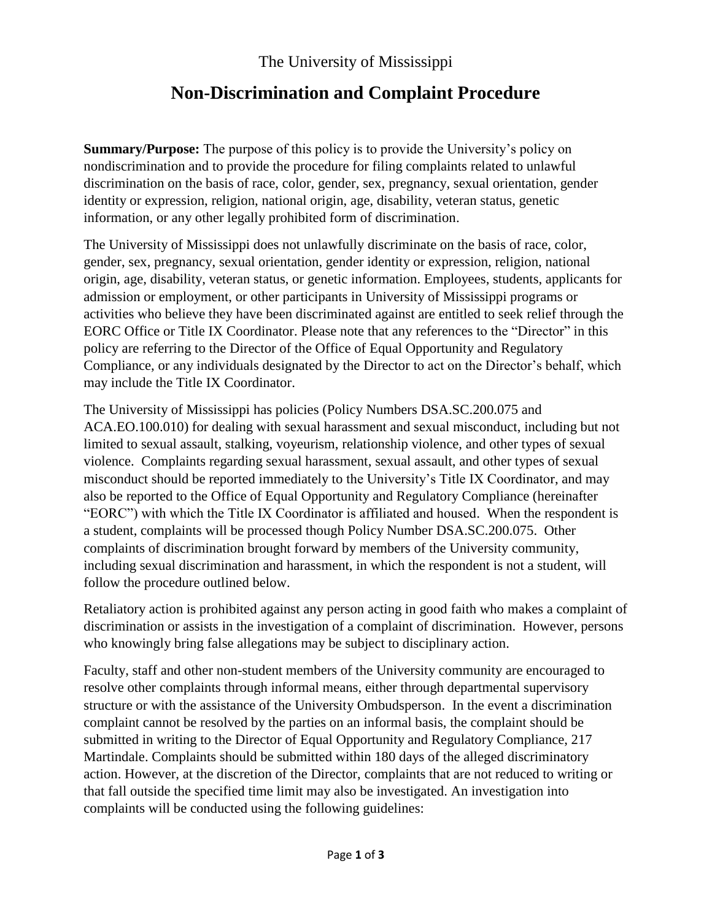The University of Mississippi

## **Non-Discrimination and Complaint Procedure**

**Summary/Purpose:** The purpose of this policy is to provide the University's policy on nondiscrimination and to provide the procedure for filing complaints related to unlawful discrimination on the basis of race, color, gender, sex, pregnancy, sexual orientation, gender identity or expression, religion, national origin, age, disability, veteran status, genetic information, or any other legally prohibited form of discrimination.

The University of Mississippi does not unlawfully discriminate on the basis of race, color, gender, sex, pregnancy, sexual orientation, gender identity or expression, religion, national origin, age, disability, veteran status, or genetic information. Employees, students, applicants for admission or employment, or other participants in University of Mississippi programs or activities who believe they have been discriminated against are entitled to seek relief through the EORC Office or Title IX Coordinator. Please note that any references to the "Director" in this policy are referring to the Director of the Office of Equal Opportunity and Regulatory Compliance, or any individuals designated by the Director to act on the Director's behalf, which may include the Title IX Coordinator.

The University of Mississippi has policies (Policy Numbers DSA.SC.200.075 and ACA.EO.100.010) for dealing with sexual harassment and sexual misconduct, including but not limited to sexual assault, stalking, voyeurism, relationship violence, and other types of sexual violence. Complaints regarding sexual harassment, sexual assault, and other types of sexual misconduct should be reported immediately to the University's Title IX Coordinator, and may also be reported to the Office of Equal Opportunity and Regulatory Compliance (hereinafter "EORC") with which the Title IX Coordinator is affiliated and housed. When the respondent is a student, complaints will be processed though Policy Number DSA.SC.200.075. Other complaints of discrimination brought forward by members of the University community, including sexual discrimination and harassment, in which the respondent is not a student, will follow the procedure outlined below.

Retaliatory action is prohibited against any person acting in good faith who makes a complaint of discrimination or assists in the investigation of a complaint of discrimination. However, persons who knowingly bring false allegations may be subject to disciplinary action.

Faculty, staff and other non-student members of the University community are encouraged to resolve other complaints through informal means, either through departmental supervisory structure or with the assistance of the University Ombudsperson. In the event a discrimination complaint cannot be resolved by the parties on an informal basis, the complaint should be submitted in writing to the Director of Equal Opportunity and Regulatory Compliance, 217 Martindale. Complaints should be submitted within 180 days of the alleged discriminatory action. However, at the discretion of the Director, complaints that are not reduced to writing or that fall outside the specified time limit may also be investigated. An investigation into complaints will be conducted using the following guidelines: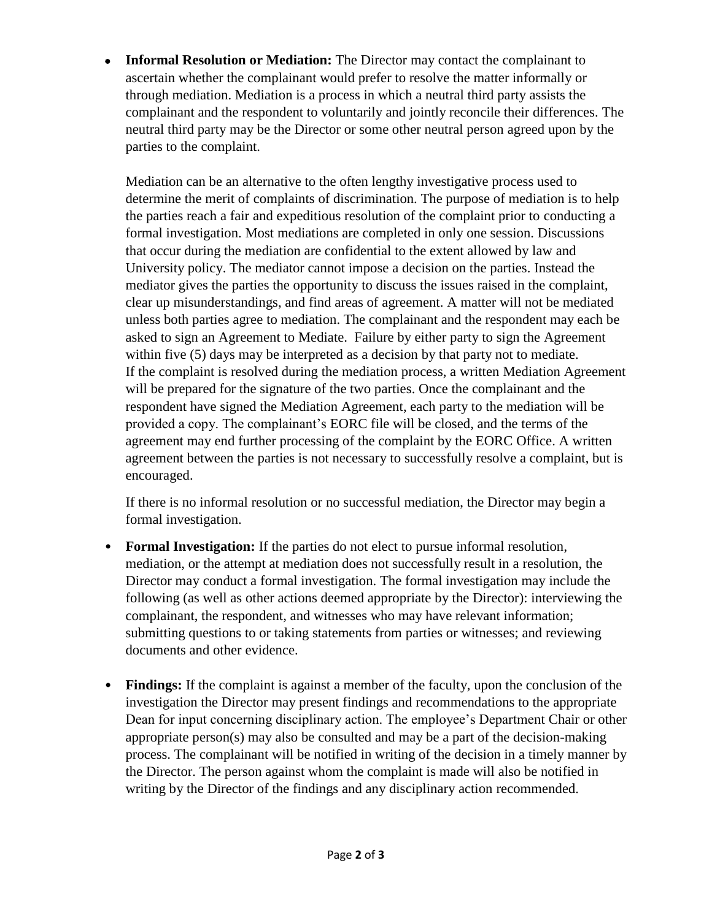**Informal Resolution or Mediation:** The Director may contact the complainant to ascertain whether the complainant would prefer to resolve the matter informally or through mediation. Mediation is a process in which a neutral third party assists the complainant and the respondent to voluntarily and jointly reconcile their differences. The neutral third party may be the Director or some other neutral person agreed upon by the parties to the complaint.

Mediation can be an alternative to the often lengthy investigative process used to determine the merit of complaints of discrimination. The purpose of mediation is to help the parties reach a fair and expeditious resolution of the complaint prior to conducting a formal investigation. Most mediations are completed in only one session. Discussions that occur during the mediation are confidential to the extent allowed by law and University policy. The mediator cannot impose a decision on the parties. Instead the mediator gives the parties the opportunity to discuss the issues raised in the complaint, clear up misunderstandings, and find areas of agreement. A matter will not be mediated unless both parties agree to mediation. The complainant and the respondent may each be asked to sign an Agreement to Mediate. Failure by either party to sign the Agreement within five (5) days may be interpreted as a decision by that party not to mediate. If the complaint is resolved during the mediation process, a written Mediation Agreement will be prepared for the signature of the two parties. Once the complainant and the respondent have signed the Mediation Agreement, each party to the mediation will be provided a copy. The complainant's EORC file will be closed, and the terms of the agreement may end further processing of the complaint by the EORC Office. A written agreement between the parties is not necessary to successfully resolve a complaint, but is encouraged.

If there is no informal resolution or no successful mediation, the Director may begin a formal investigation.

- **Formal Investigation:** If the parties do not elect to pursue informal resolution, mediation, or the attempt at mediation does not successfully result in a resolution, the Director may conduct a formal investigation. The formal investigation may include the following (as well as other actions deemed appropriate by the Director): interviewing the complainant, the respondent, and witnesses who may have relevant information; submitting questions to or taking statements from parties or witnesses; and reviewing documents and other evidence.
- **Findings:** If the complaint is against a member of the faculty, upon the conclusion of the investigation the Director may present findings and recommendations to the appropriate Dean for input concerning disciplinary action. The employee's Department Chair or other appropriate person(s) may also be consulted and may be a part of the decision-making process. The complainant will be notified in writing of the decision in a timely manner by the Director. The person against whom the complaint is made will also be notified in writing by the Director of the findings and any disciplinary action recommended.